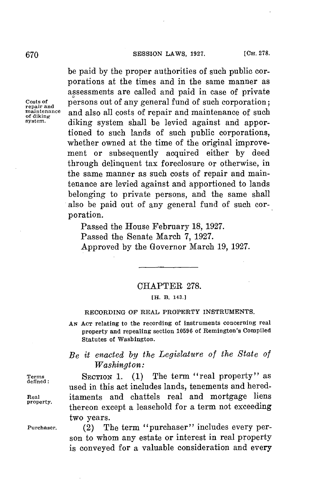be paid **by** the proper authorities of such public corporations at the times and in the same manner as assessments are called and paid in case of private Costs of **persons out of any general fund of such corporation;** repair and **persons** out of such corporation; **maintenance** and also all costs of repair and maintenance of such of diking<br>
system. **system.** diking system shall be levied against and apportioned to such lands of such public corporations, whether owned at the time of the original improvement or subsequently acquired either **by** deed through delinquent tax foreclosure or otherwise, in the same manner as such costs of repair and maintenance are levied against and apportioned to lands belonging to private persons, and the same shall also be paid out of any general fund of such corporation.

> Passed the House February **18, 1927.** Passed the Senate March **7, 1927.** Approved **by** the Governor March **19, 1927.**

## CHAPTER **278.**

**[H. B. 143.]**

#### **RECORDING OF REAL PROPERTY INSTRUMENTS.**

**AN ACT relating to the recording of instruments concerning real property and repealing section 10596 of Remington's Compiled Statutes of Washington.**

# *Be it enacted by the Legislature of the State of Washington:*

Terms SECTION 1. (1) The term "real property" as used in this act includes lands, tenements and hered-**Real** itaments and chattels real and mortgage liens thereon except a leasehold for a term not exceeding two years.

**Purchaser.** (2) The term "purchaser" includes every person to whom any estate or interest in real property is conveyed for a valuable consideration and every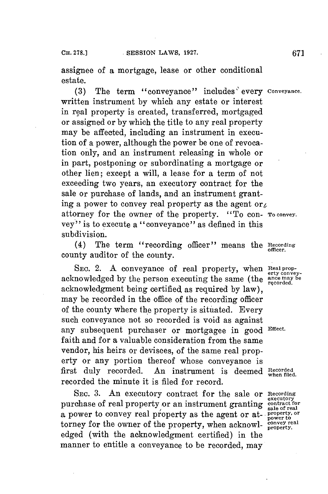assignee of a mortgage, lease or other conditional estate.

**(3)** The term "conveyance" includes" every **Conveyance.** written instrument **by** which any estate or interest in real property is created, transferred, mortgaged or assigned or **by** which the title to any real property may be affected, including an instrument in execution of a power, although the power be one of revocation only, and an instrument releasing in whole or in part, postponing or subordinating a mortgage or other lien; except a will, a lease for a term of not exceeding two years, an executory contract for the sale or purchase of lands, and an instrument granting a power to convey real property as the agent or attorney **for** the owner of the property. "To con- **To convey.** vey" is to execute a "conveyance" as defined in this subdivision.

(4) The term "recording officer" means the **Recording** county auditor of the county.

SEC. 2. A conveyance of real property, when  $\frac{\text{Real prop}}{\text{erty}}$ acknowledged by the person executing the same (the **ance may be recorded**. acknowledgment being certified as required **by** law), may be recorded in the office of the recording officer of the county where the property is situated. Every such conveyance not so recorded is void as against any subsequent purchaser or mortgagee in good **Effect.** faith and **for** a valuable consideration from the same vendor, his heirs or devisees, of the same real property or any portion thereof whose conveyance is first duly recorded. An instrument is deemed **Recorded when filed.** recorded the minute it is filed for record.

**SEc. 3.** An executory contract for the sale or **Recording** purchase of real property or an instrument granting contract for a power to convey real property as the agent or at- **Property**, or torney for the owner of the property, when acknowl- property. edged (with the acknowledgment certified) in the manner to entitle a conveyance to be recorded, may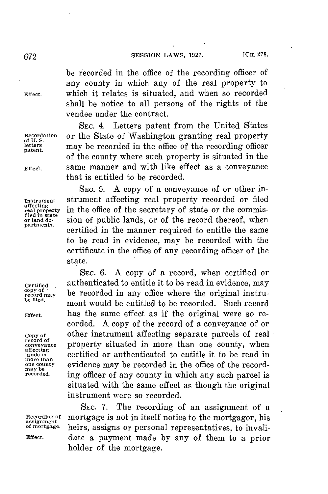**[CH. 278. 672 SESSION** LAWS, **1927.**

be recorded in the office of the recording officer of any county in which any of the real property to **Effect.** which it relates is situated, and when so recorded shall be notice to all persons of the rights of the vendee under the contract.

**SEC.** 4. Letters patent from the United States **Recordation** or the State of Washington granting real property **of U. S. letters** may be recorded in the office of the recording officer of the county where such property is situated in the **Effect.** same manner and with like effect as a conveyance that is entitled to be recorded.

**SEc. 5. A** copy of a conveyance of or other in-**Instrument** strument affecting real property recorded or filed in the office of the secretary of state or the commis**filed in state or land de-** sion of public lands, or of the record thereof, when certified in the manner required to entitle the same to be read in evidence, may be recorded with the certificate in the office of any recording officer of the state.

SEc. **6. A** copy of a record, when certified or Certified **authenticated to entitle it to be read in evidence, may**<br>
copy of the means of the second in the set of the set of the set of the set of the set of the set of the set of the set of the set of the set of the set **record may** be recorded in any office where the original instru-<br>be filed. **be filed.** ment would be entitled to be recorded. Such record **Effect.** has the same effect as if the original were so recorded. **A** copy of the record of a conveyance of or **Copy of** other instrument affecting separate parcels of real property situated in more than one county, when **lands in** certified or authenticated to entitle it to be read in **more than one county** evidence may be recorded in the office of the recording officer of any county in which any such parcel is situated with the same effect as though the original instrument were so recorded.

SEc. **7.** The recording of an assignment of a Recording of mortgage is not in itself notice to the mortgagor, his assignment<br>of mortgage. heirs assigns or personal representatives to invali**of mortgage.** heirs, assigns or personal representatives, to invali-**Effect.** date a payment made **by** any of them to a prior holder of the mortgage.

**patent.**

affecting<br>real property<br>filed in state

**record of affecting may be**